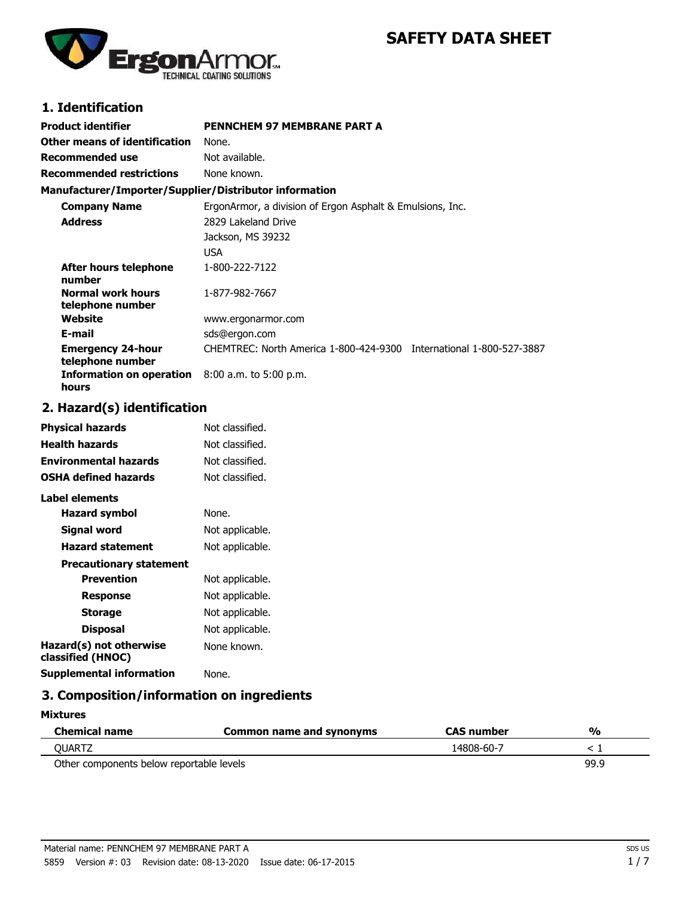# **SAFETY DATA SHEET**



# **1. Identification**

| Product identifier                                     | <b>PENNCHEM 97 MEMBRANE PART A</b>                                  |
|--------------------------------------------------------|---------------------------------------------------------------------|
| Other means of identification                          | None.                                                               |
| Recommended use                                        | Not available.                                                      |
| <b>Recommended restrictions</b>                        | None known.                                                         |
| Manufacturer/Importer/Supplier/Distributor information |                                                                     |
| <b>Company Name</b>                                    | ErgonArmor, a division of Ergon Asphalt & Emulsions, Inc.           |
| <b>Address</b>                                         | 2829 Lakeland Drive                                                 |
|                                                        | Jackson, MS 39232                                                   |
|                                                        | USA                                                                 |
| After hours telephone<br>number                        | 1-800-222-7122                                                      |
| Normal work hours<br>telephone number                  | 1-877-982-7667                                                      |
| Website                                                | www.ergonarmor.com                                                  |
| E-mail                                                 | sds@ergon.com                                                       |
| <b>Emergency 24-hour</b><br>telephone number           | CHEMTREC: North America 1-800-424-9300 International 1-800-527-3887 |
| <b>Information on operation</b><br>hours               | $8:00$ a.m. to 5:00 p.m.                                            |

## **2. Hazard(s) identification**

| <b>Physical hazards</b>                      | Not classified. |
|----------------------------------------------|-----------------|
| <b>Health hazards</b>                        | Not classified. |
| <b>Environmental hazards</b>                 | Not classified. |
| <b>OSHA defined hazards</b>                  | Not classified. |
| Label elements                               |                 |
| Hazard symbol                                | None.           |
| Signal word                                  | Not applicable. |
| <b>Hazard statement</b>                      | Not applicable. |
| <b>Precautionary statement</b>               |                 |
| Prevention                                   | Not applicable. |
| Response                                     | Not applicable. |
| <b>Storage</b>                               | Not applicable. |
| <b>Disposal</b>                              | Not applicable. |
| Hazard(s) not otherwise<br>classified (HNOC) | None known.     |
| <b>Supplemental information</b>              | None.           |

# **3. Composition/information on ingredients**

**Mixtures**

| Chemical name                            | Common name and synonyms | <b>CAS</b> number | $\frac{1}{2}$ |
|------------------------------------------|--------------------------|-------------------|---------------|
| OUARTZ                                   |                          | 14808-60-7        |               |
| Other components below reportable levels |                          |                   | 99.9          |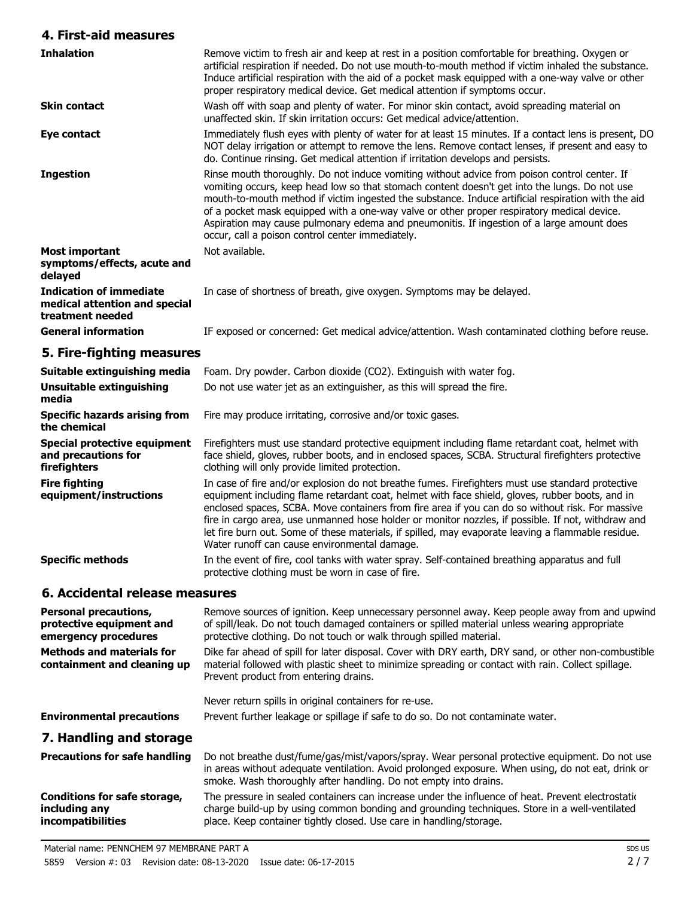## **4. First-aid measures**

| 7. I II ɔl-aiu Tiicaɔui cɔ                                                          |                                                                                                                                                                                                                                                                                                                                                                                                                                                                                                                                                                     |
|-------------------------------------------------------------------------------------|---------------------------------------------------------------------------------------------------------------------------------------------------------------------------------------------------------------------------------------------------------------------------------------------------------------------------------------------------------------------------------------------------------------------------------------------------------------------------------------------------------------------------------------------------------------------|
| <b>Inhalation</b>                                                                   | Remove victim to fresh air and keep at rest in a position comfortable for breathing. Oxygen or<br>artificial respiration if needed. Do not use mouth-to-mouth method if victim inhaled the substance.<br>Induce artificial respiration with the aid of a pocket mask equipped with a one-way valve or other<br>proper respiratory medical device. Get medical attention if symptoms occur.                                                                                                                                                                          |
| <b>Skin contact</b>                                                                 | Wash off with soap and plenty of water. For minor skin contact, avoid spreading material on<br>unaffected skin. If skin irritation occurs: Get medical advice/attention.                                                                                                                                                                                                                                                                                                                                                                                            |
| Eye contact                                                                         | Immediately flush eyes with plenty of water for at least 15 minutes. If a contact lens is present, DO<br>NOT delay irrigation or attempt to remove the lens. Remove contact lenses, if present and easy to<br>do. Continue rinsing. Get medical attention if irritation develops and persists.                                                                                                                                                                                                                                                                      |
| <b>Ingestion</b>                                                                    | Rinse mouth thoroughly. Do not induce vomiting without advice from poison control center. If<br>vomiting occurs, keep head low so that stomach content doesn't get into the lungs. Do not use<br>mouth-to-mouth method if victim ingested the substance. Induce artificial respiration with the aid<br>of a pocket mask equipped with a one-way valve or other proper respiratory medical device.<br>Aspiration may cause pulmonary edema and pneumonitis. If ingestion of a large amount does<br>occur, call a poison control center immediately.                  |
| <b>Most important</b><br>symptoms/effects, acute and<br>delayed                     | Not available.                                                                                                                                                                                                                                                                                                                                                                                                                                                                                                                                                      |
| <b>Indication of immediate</b><br>medical attention and special<br>treatment needed | In case of shortness of breath, give oxygen. Symptoms may be delayed.                                                                                                                                                                                                                                                                                                                                                                                                                                                                                               |
| <b>General information</b>                                                          | IF exposed or concerned: Get medical advice/attention. Wash contaminated clothing before reuse.                                                                                                                                                                                                                                                                                                                                                                                                                                                                     |
| 5. Fire-fighting measures                                                           |                                                                                                                                                                                                                                                                                                                                                                                                                                                                                                                                                                     |
| Suitable extinguishing media                                                        | Foam. Dry powder. Carbon dioxide (CO2). Extinguish with water fog.                                                                                                                                                                                                                                                                                                                                                                                                                                                                                                  |
| <b>Unsuitable extinguishing</b><br>media                                            | Do not use water jet as an extinguisher, as this will spread the fire.                                                                                                                                                                                                                                                                                                                                                                                                                                                                                              |
| <b>Specific hazards arising from</b><br>the chemical                                | Fire may produce irritating, corrosive and/or toxic gases.                                                                                                                                                                                                                                                                                                                                                                                                                                                                                                          |
| <b>Special protective equipment</b><br>and precautions for<br>firefighters          | Firefighters must use standard protective equipment including flame retardant coat, helmet with<br>face shield, gloves, rubber boots, and in enclosed spaces, SCBA. Structural firefighters protective<br>clothing will only provide limited protection.                                                                                                                                                                                                                                                                                                            |
| <b>Fire fighting</b><br>equipment/instructions                                      | In case of fire and/or explosion do not breathe fumes. Firefighters must use standard protective<br>equipment including flame retardant coat, helmet with face shield, gloves, rubber boots, and in<br>enclosed spaces, SCBA. Move containers from fire area if you can do so without risk. For massive<br>fire in cargo area, use unmanned hose holder or monitor nozzles, if possible. If not, withdraw and<br>let fire burn out. Some of these materials, if spilled, may evaporate leaving a flammable residue.<br>Water runoff can cause environmental damage. |
| <b>Specific methods</b>                                                             | In the event of fire, cool tanks with water spray. Self-contained breathing apparatus and full<br>protective clothing must be worn in case of fire.                                                                                                                                                                                                                                                                                                                                                                                                                 |
| 6. Accidental release measures                                                      |                                                                                                                                                                                                                                                                                                                                                                                                                                                                                                                                                                     |
| <b>Personal precautions,</b><br>nretoetivo osuinmont and                            | Remove sources of ignition. Keep unnecessary personnel away. Keep people away from and upwind<br>of cpillbale. Do not touch damaged containers or spilled material unless wearing appropriate                                                                                                                                                                                                                                                                                                                                                                       |

of spill/leak. Do not touch damaged containers or spilled material unless wearing appropriate protective clothing. Do not touch or walk through spilled material. **protective equipment and emergency procedures** Dike far ahead of spill for later disposal. Cover with DRY earth, DRY sand, or other non-combustible material followed with plastic sheet to minimize spreading or contact with rain. Collect spillage. Prevent product from entering drains. Never return spills in original containers for re-use. **Methods and materials for containment and cleaning up Environmental precautions** Prevent further leakage or spillage if safe to do so. Do not contaminate water. **7. Handling and storage** Do not breathe dust/fume/gas/mist/vapors/spray. Wear personal protective equipment. Do not use in areas without adequate ventilation. Avoid prolonged exposure. When using, do not eat, drink or smoke. Wash thoroughly after handling. Do not empty into drains. **Precautions for safe handling** The pressure in sealed containers can increase under the influence of heat. Prevent electrostatic **Conditions for safe storage,**

charge build-up by using common bonding and grounding techniques. Store in a well-ventilated place. Keep container tightly closed. Use care in handling/storage. **including any incompatibilities**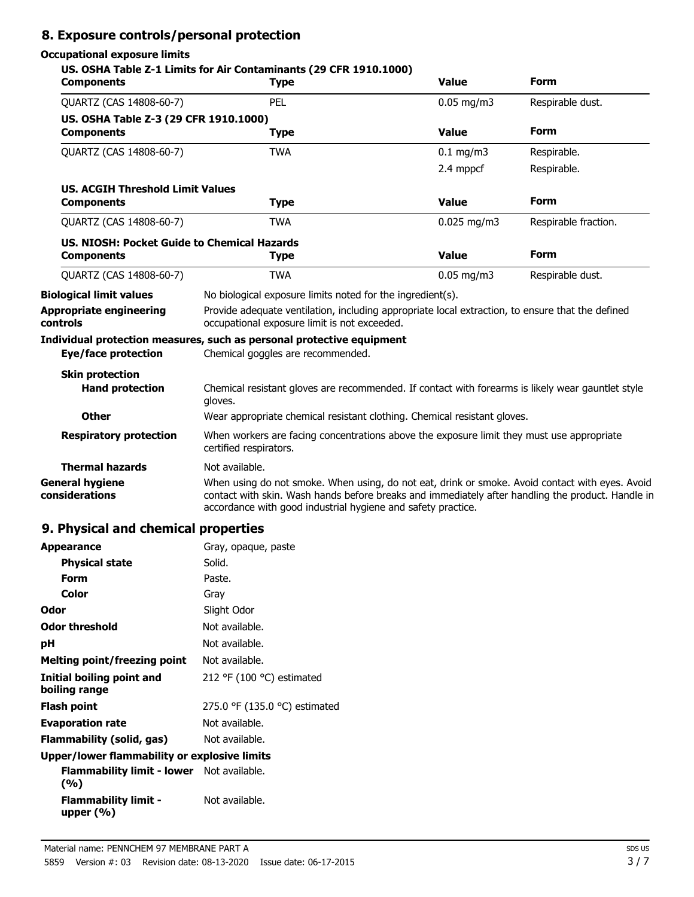# **8. Exposure controls/personal protection**

## **Occupational exposure limits**

| <b>Components</b>                                                | US. OSHA Table Z-1 Limits for Air Contaminants (29 CFR 1910.1000)<br><b>Type</b>                                                                                                                                                                                     | <b>Value</b>       | <b>Form</b>          |
|------------------------------------------------------------------|----------------------------------------------------------------------------------------------------------------------------------------------------------------------------------------------------------------------------------------------------------------------|--------------------|----------------------|
| QUARTZ (CAS 14808-60-7)                                          | PEL                                                                                                                                                                                                                                                                  | $0.05$ mg/m3       | Respirable dust.     |
| US. OSHA Table Z-3 (29 CFR 1910.1000)<br><b>Components</b>       | <b>Type</b>                                                                                                                                                                                                                                                          | <b>Value</b>       | <b>Form</b>          |
| QUARTZ (CAS 14808-60-7)                                          | <b>TWA</b>                                                                                                                                                                                                                                                           | $0.1 \text{ mg/m}$ | Respirable.          |
|                                                                  |                                                                                                                                                                                                                                                                      | 2.4 mppcf          | Respirable.          |
| <b>US. ACGIH Threshold Limit Values</b><br><b>Components</b>     | <b>Type</b>                                                                                                                                                                                                                                                          | Value              | <b>Form</b>          |
| QUARTZ (CAS 14808-60-7)                                          | <b>TWA</b>                                                                                                                                                                                                                                                           | $0.025$ mg/m3      | Respirable fraction. |
| US. NIOSH: Pocket Guide to Chemical Hazards<br><b>Components</b> | <b>Type</b>                                                                                                                                                                                                                                                          | <b>Value</b>       | <b>Form</b>          |
| QUARTZ (CAS 14808-60-7)                                          | <b>TWA</b>                                                                                                                                                                                                                                                           | $0.05$ mg/m3       | Respirable dust.     |
| <b>Biological limit values</b>                                   | No biological exposure limits noted for the ingredient(s).                                                                                                                                                                                                           |                    |                      |
| Appropriate engineering<br>controls                              | Provide adequate ventilation, including appropriate local extraction, to ensure that the defined<br>occupational exposure limit is not exceeded.                                                                                                                     |                    |                      |
|                                                                  | Individual protection measures, such as personal protective equipment                                                                                                                                                                                                |                    |                      |
| <b>Eye/face protection</b>                                       | Chemical goggles are recommended.                                                                                                                                                                                                                                    |                    |                      |
| <b>Skin protection</b><br><b>Hand protection</b>                 | Chemical resistant gloves are recommended. If contact with forearms is likely wear gauntlet style<br>aloves.                                                                                                                                                         |                    |                      |
| <b>Other</b>                                                     | Wear appropriate chemical resistant clothing. Chemical resistant gloves.                                                                                                                                                                                             |                    |                      |
| <b>Respiratory protection</b>                                    | When workers are facing concentrations above the exposure limit they must use appropriate<br>certified respirators.                                                                                                                                                  |                    |                      |
| <b>Thermal hazards</b>                                           | Not available.                                                                                                                                                                                                                                                       |                    |                      |
| <b>General hygiene</b><br>considerations                         | When using do not smoke. When using, do not eat, drink or smoke. Avoid contact with eyes. Avoid<br>contact with skin. Wash hands before breaks and immediately after handling the product. Handle in<br>accordance with good industrial hygiene and safety practice. |                    |                      |

# **9. Physical and chemical properties**

| <b>Appearance</b>                                       | Gray, opaque, paste           |
|---------------------------------------------------------|-------------------------------|
| <b>Physical state</b>                                   | Solid.                        |
| Form                                                    | Paste.                        |
| Color                                                   | Gray                          |
| Odor                                                    | Slight Odor                   |
| <b>Odor threshold</b>                                   | Not available.                |
| рH                                                      | Not available.                |
| <b>Melting point/freezing point</b>                     | Not available.                |
| Initial boiling point and<br>boiling range              | 212 °F (100 °C) estimated     |
| Flash point                                             | 275.0 °F (135.0 °C) estimated |
| <b>Evaporation rate</b>                                 | Not available.                |
| Flammability (solid, gas)                               | Not available.                |
| Upper/lower flammability or explosive limits            |                               |
| <b>Flammability limit - lower</b> Not available.<br>(%) |                               |
| <b>Flammability limit -</b><br>upper $(% )$             | Not available.                |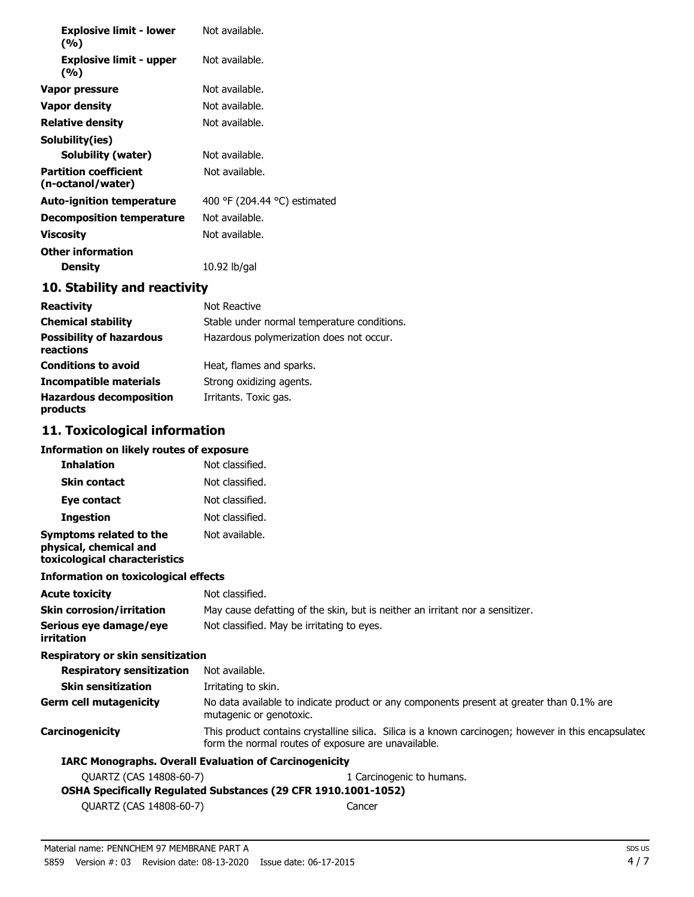| <b>Explosive limit - lower</b><br>(%)             | Not available.               |
|---------------------------------------------------|------------------------------|
| <b>Explosive limit - upper</b><br>(%)             | Not available.               |
| Vapor pressure                                    | Not available.               |
| Vapor density                                     | Not available.               |
| Relative density                                  | Not available.               |
| Solubility(ies)                                   |                              |
| Solubility (water)                                | Not available.               |
| <b>Partition coefficient</b><br>(n-octanol/water) | Not available.               |
| <b>Auto-ignition temperature</b>                  | 400 °F (204.44 °C) estimated |
| <b>Decomposition temperature</b>                  | Not available.               |
| Viscosity                                         | Not available.               |
| <b>Other information</b>                          |                              |
| Density                                           | 10.92 lb/gal                 |

## **10. Stability and reactivity**

| <b>Reactivity</b>                            | Not Reactive                                |
|----------------------------------------------|---------------------------------------------|
| <b>Chemical stability</b>                    | Stable under normal temperature conditions. |
| <b>Possibility of hazardous</b><br>reactions | Hazardous polymerization does not occur.    |
| <b>Conditions to avoid</b>                   | Heat, flames and sparks.                    |
| Incompatible materials                       | Strong oxidizing agents.                    |
| <b>Hazardous decomposition</b><br>products   | Irritants. Toxic gas.                       |

# **11. Toxicological information**

#### **Information on likely routes of exposure**

| <b>Inhalation</b>                                                                  | Not classified.                                                                                                                                             |
|------------------------------------------------------------------------------------|-------------------------------------------------------------------------------------------------------------------------------------------------------------|
| <b>Skin contact</b>                                                                | Not classified.                                                                                                                                             |
| Eye contact                                                                        | Not classified.                                                                                                                                             |
| <b>Ingestion</b>                                                                   | Not classified.                                                                                                                                             |
| Symptoms related to the<br>physical, chemical and<br>toxicological characteristics | Not available.                                                                                                                                              |
| <b>Information on toxicological effects</b>                                        |                                                                                                                                                             |
| <b>Acute toxicity</b>                                                              | Not classified.                                                                                                                                             |
| <b>Skin corrosion/irritation</b>                                                   | May cause defatting of the skin, but is neither an irritant nor a sensitizer.                                                                               |
| Serious eye damage/eye<br>irritation                                               | Not classified. May be irritating to eyes.                                                                                                                  |
| <b>Respiratory or skin sensitization</b>                                           |                                                                                                                                                             |
| <b>Respiratory sensitization</b>                                                   | Not available.                                                                                                                                              |
| <b>Skin sensitization</b>                                                          | Irritating to skin.                                                                                                                                         |
| <b>Germ cell mutagenicity</b>                                                      | No data available to indicate product or any components present at greater than 0.1% are<br>mutagenic or genotoxic.                                         |
| Carcinogenicity                                                                    | This product contains crystalline silica. Silica is a known carcinogen; however in this encapsulated<br>form the normal routes of exposure are unavailable. |
|                                                                                    | <b>IARC Monographs. Overall Evaluation of Carcinogenicity</b>                                                                                               |
| QUARTZ (CAS 14808-60-7)                                                            | 1 Carcinogenic to humans.                                                                                                                                   |
|                                                                                    | OSHA Specifically Regulated Substances (29 CFR 1910.1001-1052)                                                                                              |
| OUARTZ (CAS 14808-60-7)                                                            | Cancer                                                                                                                                                      |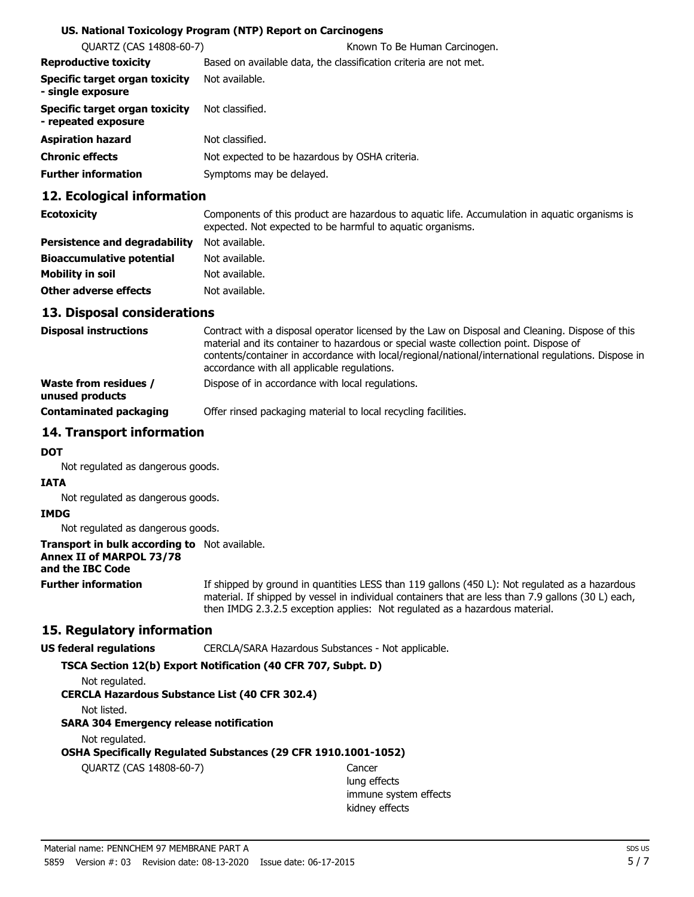#### **US. National Toxicology Program (NTP) Report on Carcinogens**

| <b>QUARTZ (CAS 14808-60-7)</b>                        | Known To Be Human Carcinogen.                                     |
|-------------------------------------------------------|-------------------------------------------------------------------|
| <b>Reproductive toxicity</b>                          | Based on available data, the classification criteria are not met. |
| Specific target organ toxicity<br>- single exposure   | Not available.                                                    |
| Specific target organ toxicity<br>- repeated exposure | Not classified.                                                   |
| <b>Aspiration hazard</b>                              | Not classified.                                                   |
| <b>Chronic effects</b>                                | Not expected to be hazardous by OSHA criteria.                    |
| <b>Further information</b>                            | Symptoms may be delayed.                                          |
|                                                       |                                                                   |

### **12. Ecological information**

| <b>Ecotoxicity</b>                   | Components of this product are hazardous to aguatic life. Accumulation in aguatic organisms is<br>expected. Not expected to be harmful to aquatic organisms. |
|--------------------------------------|--------------------------------------------------------------------------------------------------------------------------------------------------------------|
| <b>Persistence and degradability</b> | Not available.                                                                                                                                               |
| <b>Bioaccumulative potential</b>     | Not available.                                                                                                                                               |
| Mobility in soil                     | Not available.                                                                                                                                               |
| Other adverse effects                | Not available.                                                                                                                                               |

### **13. Disposal considerations**

| <b>Disposal instructions</b>                    | Contract with a disposal operator licensed by the Law on Disposal and Cleaning. Dispose of this<br>material and its container to hazardous or special waste collection point. Dispose of<br>contents/container in accordance with local/regional/national/international regulations. Dispose in<br>accordance with all applicable regulations. |
|-------------------------------------------------|------------------------------------------------------------------------------------------------------------------------------------------------------------------------------------------------------------------------------------------------------------------------------------------------------------------------------------------------|
| <b>Waste from residues /</b><br>unused products | Dispose of in accordance with local regulations.                                                                                                                                                                                                                                                                                               |
| <b>Contaminated packaging</b>                   | Offer rinsed packaging material to local recycling facilities.                                                                                                                                                                                                                                                                                 |

## **14. Transport information**

#### **DOT**

Not regulated as dangerous goods.

# **IATA**

Not regulated as dangerous goods.

#### **IMDG**

Not regulated as dangerous goods.

## **Transport in bulk according to** Not available. **Annex II of MARPOL 73/78**

## **and the IBC Code**

**Further information**

If shipped by ground in quantities LESS than 119 gallons (450 L): Not regulated as a hazardous material. If shipped by vessel in individual containers that are less than 7.9 gallons (30 L) each, then IMDG 2.3.2.5 exception applies: Not regulated as a hazardous material.

## **15. Regulatory information**

**US federal regulations** CERCLA/SARA Hazardous Substances - Not applicable.

#### **TSCA Section 12(b) Export Notification (40 CFR 707, Subpt. D)**

Not regulated.

#### **CERCLA Hazardous Substance List (40 CFR 302.4)**

Not listed.

#### **SARA 304 Emergency release notification**

Not regulated.

## **OSHA Specifically Regulated Substances (29 CFR 1910.1001-1052)**

QUARTZ (CAS 14808-60-7) Cancer

lung effects immune system effects kidney effects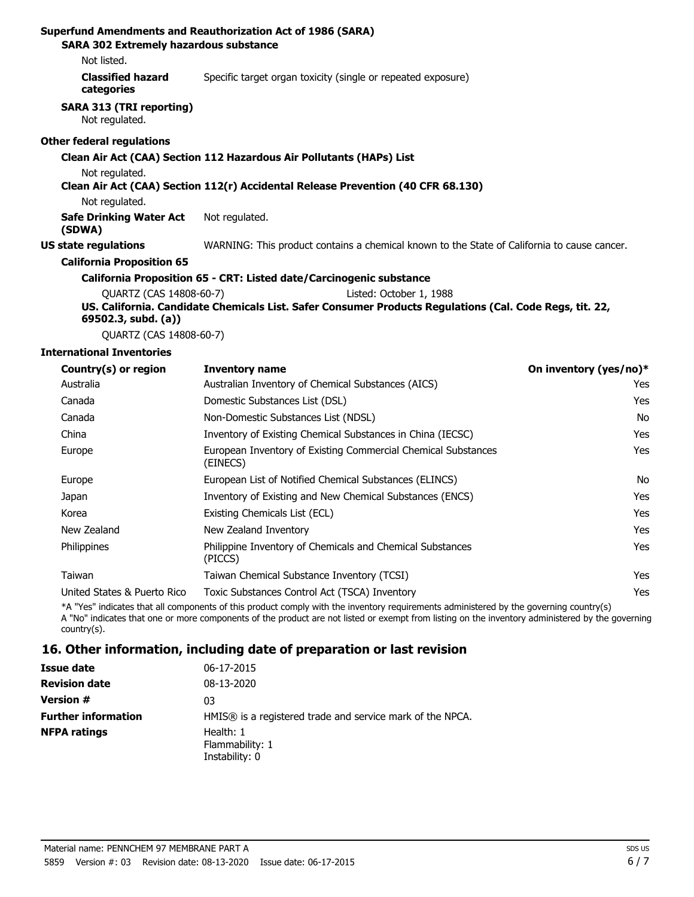| <b>SARA 302 Extremely hazardous substance</b>     | Superfund Amendments and Reauthorization Act of 1986 (SARA)                                             |
|---------------------------------------------------|---------------------------------------------------------------------------------------------------------|
| Not listed.                                       |                                                                                                         |
| <b>Classified hazard</b><br>categories            | Specific target organ toxicity (single or repeated exposure)                                            |
| <b>SARA 313 (TRI reporting)</b><br>Not regulated. |                                                                                                         |
| <b>Other federal regulations</b>                  |                                                                                                         |
|                                                   | Clean Air Act (CAA) Section 112 Hazardous Air Pollutants (HAPs) List                                    |
| Not regulated.                                    |                                                                                                         |
|                                                   | Clean Air Act (CAA) Section 112(r) Accidental Release Prevention (40 CFR 68.130)                        |
| Not regulated.                                    |                                                                                                         |
| <b>Safe Drinking Water Act</b><br>(SDWA)          | Not regulated.                                                                                          |
| <b>US state regulations</b>                       | WARNING: This product contains a chemical known to the State of California to cause cancer.             |
| <b>California Proposition 65</b>                  |                                                                                                         |
|                                                   | California Proposition 65 - CRT: Listed date/Carcinogenic substance                                     |
| QUARTZ (CAS 14808-60-7)                           | Listed: October 1, 1988                                                                                 |
| $69502.3$ , subd. (a))                            | US. California. Candidate Chemicals List. Safer Consumer Products Regulations (Cal. Code Regs, tit. 22, |

QUARTZ (CAS 14808-60-7)

#### **International Inventories**

| Country(s) or region        | <b>Inventory name</b>                                                     | On inventory (yes/no)* |
|-----------------------------|---------------------------------------------------------------------------|------------------------|
| Australia                   | Australian Inventory of Chemical Substances (AICS)                        | Yes                    |
| Canada                      | Domestic Substances List (DSL)                                            | Yes                    |
| Canada                      | Non-Domestic Substances List (NDSL)                                       | No                     |
| China                       | Inventory of Existing Chemical Substances in China (IECSC)                | Yes                    |
| Europe                      | European Inventory of Existing Commercial Chemical Substances<br>(EINECS) | Yes                    |
| Europe                      | European List of Notified Chemical Substances (ELINCS)                    | No                     |
| Japan                       | Inventory of Existing and New Chemical Substances (ENCS)                  | Yes                    |
| Korea                       | Existing Chemicals List (ECL)                                             | Yes                    |
| New Zealand                 | New Zealand Inventory                                                     | Yes                    |
| Philippines                 | Philippine Inventory of Chemicals and Chemical Substances<br>(PICCS)      | Yes                    |
| Taiwan                      | Taiwan Chemical Substance Inventory (TCSI)                                | Yes                    |
| United States & Puerto Rico | Toxic Substances Control Act (TSCA) Inventory                             | Yes                    |
|                             |                                                                           |                        |

\*A "Yes" indicates that all components of this product comply with the inventory requirements administered by the governing country(s) A "No" indicates that one or more components of the product are not listed or exempt from listing on the inventory administered by the governing country(s).

## **16. Other information, including date of preparation or last revision**

| Issue date                 | 06-17-2015                                                |
|----------------------------|-----------------------------------------------------------|
| <b>Revision date</b>       | 08-13-2020                                                |
| <b>Version #</b>           | 03                                                        |
| <b>Further information</b> | HMIS® is a registered trade and service mark of the NPCA. |
| <b>NFPA ratings</b>        | Health: 1<br>Flammability: 1<br>Instability: 0            |